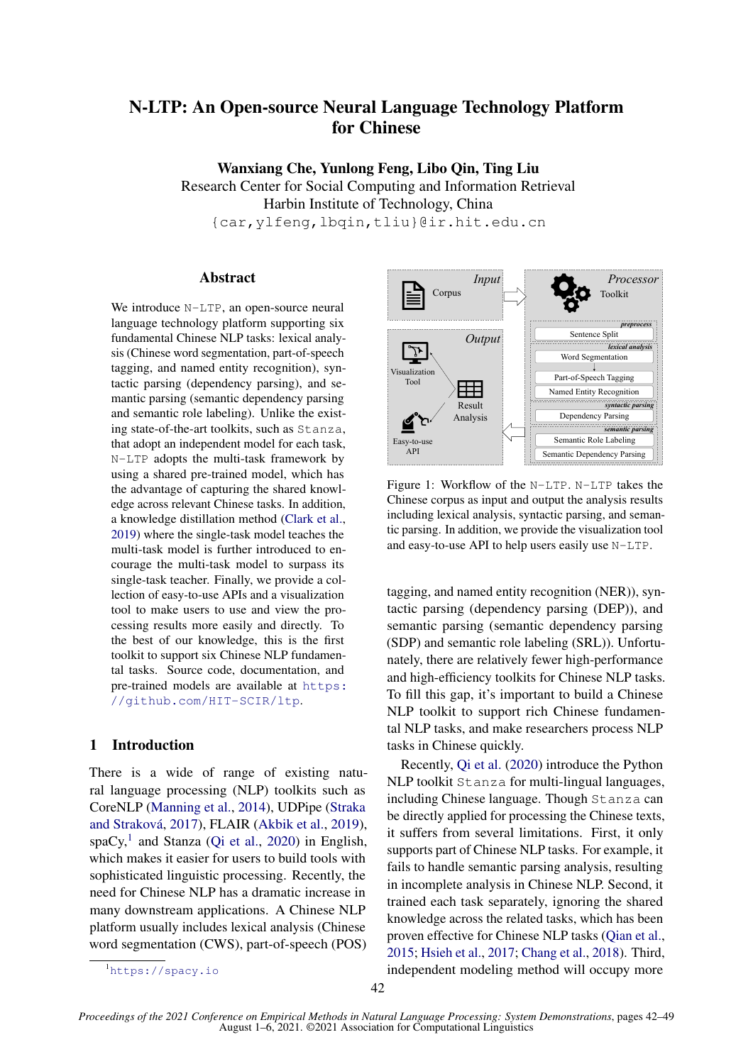# <span id="page-0-2"></span>N-LTP: An Open-source Neural Language Technology Platform for Chinese

Wanxiang Che, Yunlong Feng, Libo Qin, Ting Liu Research Center for Social Computing and Information Retrieval Harbin Institute of Technology, China {car,ylfeng,lbqin,tliu}@ir.hit.edu.cn

# Abstract

We introduce N-LTP, an open-source neural language technology platform supporting six fundamental Chinese NLP tasks: lexical analysis (Chinese word segmentation, part-of-speech tagging, and named entity recognition), syntactic parsing (dependency parsing), and semantic parsing (semantic dependency parsing and semantic role labeling). Unlike the existing state-of-the-art toolkits, such as Stanza, that adopt an independent model for each task, N-LTP adopts the multi-task framework by using a shared pre-trained model, which has the advantage of capturing the shared knowledge across relevant Chinese tasks. In addition, a knowledge distillation method [\(Clark et al.,](#page-6-0) [2019\)](#page-6-0) where the single-task model teaches the multi-task model is further introduced to encourage the multi-task model to surpass its single-task teacher. Finally, we provide a collection of easy-to-use APIs and a visualization tool to make users to use and view the processing results more easily and directly. To the best of our knowledge, this is the first toolkit to support six Chinese NLP fundamental tasks. Source code, documentation, and pre-trained models are available at [https:](https://github.com/HIT-SCIR/ltp) [//github.com/HIT-SCIR/ltp](https://github.com/HIT-SCIR/ltp).

# 1 Introduction

There is a wide of range of existing natural language processing (NLP) toolkits such as CoreNLP [\(Manning et al.,](#page-7-0) [2014\)](#page-7-0), UDPipe [\(Straka](#page-7-1) [and Straková,](#page-7-1) [2017\)](#page-7-1), FLAIR [\(Akbik et al.,](#page-6-1) [2019\)](#page-6-1),  $spaCy$ <sup>[1](#page-0-0)</sup> and Stanza [\(Qi et al.,](#page-7-2) [2020\)](#page-7-2) in English, which makes it easier for users to build tools with sophisticated linguistic processing. Recently, the need for Chinese NLP has a dramatic increase in many downstream applications. A Chinese NLP platform usually includes lexical analysis (Chinese word segmentation (CWS), part-of-speech (POS)

<span id="page-0-1"></span>

Figure 1: Workflow of the N-LTP. N-LTP takes the Chinese corpus as input and output the analysis results including lexical analysis, syntactic parsing, and semantic parsing. In addition, we provide the visualization tool and easy-to-use API to help users easily use N-LTP.

tagging, and named entity recognition (NER)), syntactic parsing (dependency parsing (DEP)), and semantic parsing (semantic dependency parsing (SDP) and semantic role labeling (SRL)). Unfortunately, there are relatively fewer high-performance and high-efficiency toolkits for Chinese NLP tasks. To fill this gap, it's important to build a Chinese NLP toolkit to support rich Chinese fundamental NLP tasks, and make researchers process NLP tasks in Chinese quickly.

Recently, [Qi et al.](#page-7-2) [\(2020\)](#page-7-2) introduce the Python NLP toolkit Stanza for multi-lingual languages, including Chinese language. Though Stanza can be directly applied for processing the Chinese texts, it suffers from several limitations. First, it only supports part of Chinese NLP tasks. For example, it fails to handle semantic parsing analysis, resulting in incomplete analysis in Chinese NLP. Second, it trained each task separately, ignoring the shared knowledge across the related tasks, which has been proven effective for Chinese NLP tasks [\(Qian et al.,](#page-7-3) [2015;](#page-7-3) [Hsieh et al.,](#page-6-2) [2017;](#page-6-2) [Chang et al.,](#page-6-3) [2018\)](#page-6-3). Third, independent modeling method will occupy more

<span id="page-0-0"></span><sup>1</sup><https://spacy.io>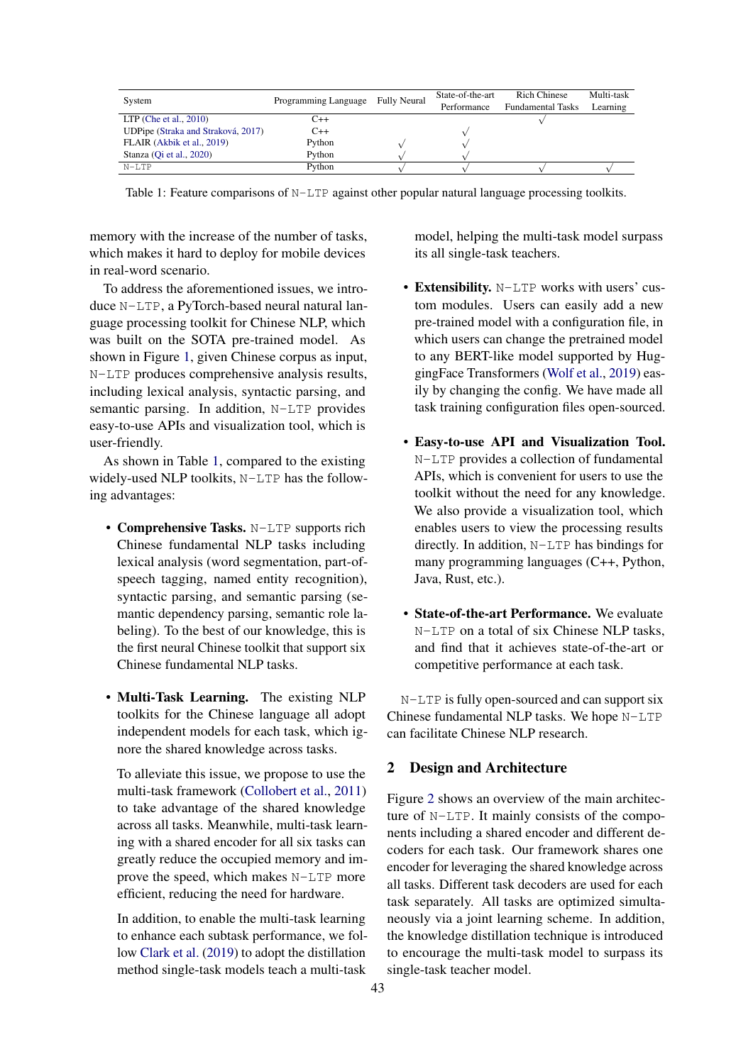<span id="page-1-0"></span>

| System                             | Programming Language Fully Neural | State-of-the-art<br>Performance | Rich Chinese<br><b>Fundamental Tasks</b> | Multi-task<br>Learning |
|------------------------------------|-----------------------------------|---------------------------------|------------------------------------------|------------------------|
| $LTP$ (Che et al., 2010)           | C++                               |                                 |                                          |                        |
| UDPipe (Straka and Straková, 2017) | $C++$                             |                                 |                                          |                        |
| FLAIR (Akbik et al., 2019)         | Python                            |                                 |                                          |                        |
| Stanza (Oi et al., 2020)           | Python                            |                                 |                                          |                        |
| $N-LTP$                            | Python                            |                                 |                                          |                        |

Table 1: Feature comparisons of N-LTP against other popular natural language processing toolkits.

memory with the increase of the number of tasks, which makes it hard to deploy for mobile devices in real-word scenario.

To address the aforementioned issues, we introduce N-LTP, a PyTorch-based neural natural language processing toolkit for Chinese NLP, which was built on the SOTA pre-trained model. As shown in Figure [1,](#page-0-1) given Chinese corpus as input, N-LTP produces comprehensive analysis results, including lexical analysis, syntactic parsing, and semantic parsing. In addition, N-LTP provides easy-to-use APIs and visualization tool, which is user-friendly.

As shown in Table [1,](#page-1-0) compared to the existing widely-used NLP toolkits, N-LTP has the following advantages:

- Comprehensive Tasks. N-LTP supports rich Chinese fundamental NLP tasks including lexical analysis (word segmentation, part-ofspeech tagging, named entity recognition), syntactic parsing, and semantic parsing (semantic dependency parsing, semantic role labeling). To the best of our knowledge, this is the first neural Chinese toolkit that support six Chinese fundamental NLP tasks.
- Multi-Task Learning. The existing NLP toolkits for the Chinese language all adopt independent models for each task, which ignore the shared knowledge across tasks.

To alleviate this issue, we propose to use the multi-task framework [\(Collobert et al.,](#page-6-5) [2011\)](#page-6-5) to take advantage of the shared knowledge across all tasks. Meanwhile, multi-task learning with a shared encoder for all six tasks can greatly reduce the occupied memory and improve the speed, which makes N-LTP more efficient, reducing the need for hardware.

In addition, to enable the multi-task learning to enhance each subtask performance, we follow [Clark et al.](#page-6-0) [\(2019\)](#page-6-0) to adopt the distillation method single-task models teach a multi-task

model, helping the multi-task model surpass its all single-task teachers.

- Extensibility. N-LTP works with users' custom modules. Users can easily add a new pre-trained model with a configuration file, in which users can change the pretrained model to any BERT-like model supported by HuggingFace Transformers [\(Wolf et al.,](#page-7-4) [2019\)](#page-7-4) easily by changing the config. We have made all task training configuration files open-sourced.
- Easy-to-use API and Visualization Tool. N-LTP provides a collection of fundamental APIs, which is convenient for users to use the toolkit without the need for any knowledge. We also provide a visualization tool, which enables users to view the processing results directly. In addition, N-LTP has bindings for many programming languages (C++, Python, Java, Rust, etc.).
- State-of-the-art Performance. We evaluate N-LTP on a total of six Chinese NLP tasks, and find that it achieves state-of-the-art or competitive performance at each task.

N-LTP is fully open-sourced and can support six Chinese fundamental NLP tasks. We hope N-LTP can facilitate Chinese NLP research.

## 2 Design and Architecture

Figure [2](#page-2-0) shows an overview of the main architecture of N-LTP. It mainly consists of the components including a shared encoder and different decoders for each task. Our framework shares one encoder for leveraging the shared knowledge across all tasks. Different task decoders are used for each task separately. All tasks are optimized simultaneously via a joint learning scheme. In addition, the knowledge distillation technique is introduced to encourage the multi-task model to surpass its single-task teacher model.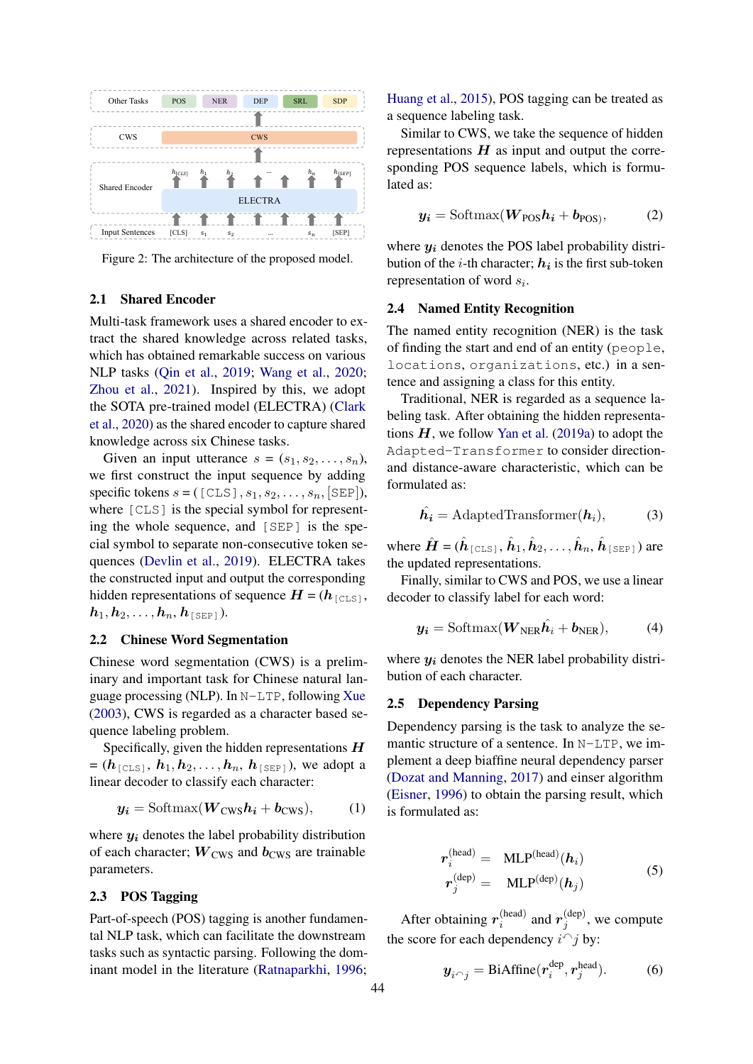<span id="page-2-0"></span>

Figure 2: The architecture of the proposed model.

# 2.1 Shared Encoder

Multi-task framework uses a shared encoder to extract the shared knowledge across related tasks, which has obtained remarkable success on various NLP tasks [\(Qin et al.,](#page-7-5) [2019;](#page-7-5) [Wang et al.,](#page-7-6) [2020;](#page-7-6) [Zhou et al.,](#page-7-7) [2021\)](#page-7-7). Inspired by this, we adopt the SOTA pre-trained model (ELECTRA) [\(Clark](#page-6-6) [et al.,](#page-6-6) [2020\)](#page-6-6) as the shared encoder to capture shared knowledge across six Chinese tasks.

Given an input utterance  $s = (s_1, s_2, \ldots, s_n)$ , we first construct the input sequence by adding specific tokens  $s = ($  [CLS],  $s_1, s_2, \ldots, s_n$ , [SEP]), where [CLS] is the special symbol for representing the whole sequence, and [SEP] is the special symbol to separate non-consecutive token sequences [\(Devlin et al.,](#page-6-7) [2019\)](#page-6-7). ELECTRA takes the constructed input and output the corresponding hidden representations of sequence  $H = (h_{\text{[CLS]}},$  $h_1, h_2, \ldots, h_n, h_{\text{[SEP]}}$ ).

### 2.2 Chinese Word Segmentation

Chinese word segmentation (CWS) is a preliminary and important task for Chinese natural language processing (NLP). In N-LTP, following [Xue](#page-7-8) [\(2003\)](#page-7-8), CWS is regarded as a character based sequence labeling problem.

Specifically, given the hidden representations  $H$  $=$   $(h_{\texttt{[CLS]}}, h_1, h_2, \ldots, h_n, h_{\texttt{[SEP]}})$ , we adopt a linear decoder to classify each character:

$$
y_i = \text{Softmax}(W_{\text{CWS}}h_i + b_{\text{CWS}}), \quad (1)
$$

where  $y_i$  denotes the label probability distribution of each character;  $W<sub>CWS</sub>$  and  $b<sub>CWS</sub>$  are trainable parameters.

# 2.3 POS Tagging

Part-of-speech (POS) tagging is another fundamental NLP task, which can facilitate the downstream tasks such as syntactic parsing. Following the dominant model in the literature [\(Ratnaparkhi,](#page-7-9) [1996;](#page-7-9)

[Huang et al.,](#page-6-8) [2015\)](#page-6-8), POS tagging can be treated as a sequence labeling task.

Similar to CWS, we take the sequence of hidden representations  $H$  as input and output the corresponding POS sequence labels, which is formulated as:

$$
y_i = \text{Softmax}(W_{\text{POS}}h_i + b_{\text{POS}}),\tag{2}
$$

where  $y_i$  denotes the POS label probability distribution of the *i*-th character;  $h_i$  is the first sub-token representation of word  $s_i$ .

#### 2.4 Named Entity Recognition

The named entity recognition (NER) is the task of finding the start and end of an entity (people, locations, organizations, etc.) in a sentence and assigning a class for this entity.

Traditional, NER is regarded as a sequence labeling task. After obtaining the hidden representations  $H$ , we follow [Yan et al.](#page-7-10) [\(2019a\)](#page-7-10) to adopt the Adapted-Transformer to consider directionand distance-aware characteristic, which can be formulated as:

$$
\hat{\boldsymbol{h}_i} = \text{AdaptedTransformer}(\boldsymbol{h}_i),\tag{3}
$$

where  $\hat{H} = (\hat{h}_{\texttt{[CLS]}}, \hat{h}_1, \hat{h}_2, \dots, \hat{h}_n, \hat{h}_{\texttt{[SEP]}})$  are the updated representations.

Finally, similar to CWS and POS, we use a linear decoder to classify label for each word:

$$
\mathbf{y_i} = \text{Softmax}(\mathbf{W}_{\text{NER}}\hat{\mathbf{h}_i} + \mathbf{b}_{\text{NER}}), \tag{4}
$$

where  $y_i$  denotes the NER label probability distribution of each character.

## <span id="page-2-1"></span>2.5 Dependency Parsing

Dependency parsing is the task to analyze the semantic structure of a sentence. In N-LTP, we implement a deep biaffine neural dependency parser [\(Dozat and Manning,](#page-6-9) [2017\)](#page-6-9) and einser algorithm [\(Eisner,](#page-6-10) [1996\)](#page-6-10) to obtain the parsing result, which is formulated as:

$$
r_i^{(\text{head})} = \text{MLP}^{(\text{head})}(h_i)
$$
  

$$
r_j^{(\text{dep})} = \text{MLP}^{(\text{dep})}(h_j)
$$
 (5)

After obtaining  $r_i^{(head)}$ (head) and  $r_j^{\text{(dep)}}$  $j^{(dep)}$ , we compute the score for each dependency  $i^{\frown}j$  by:

$$
\mathbf{y}_{i} \sim_{j} = \text{BiAffine}(\mathbf{r}_{i}^{\text{dep}}, \mathbf{r}_{j}^{\text{head}}). \quad (6)
$$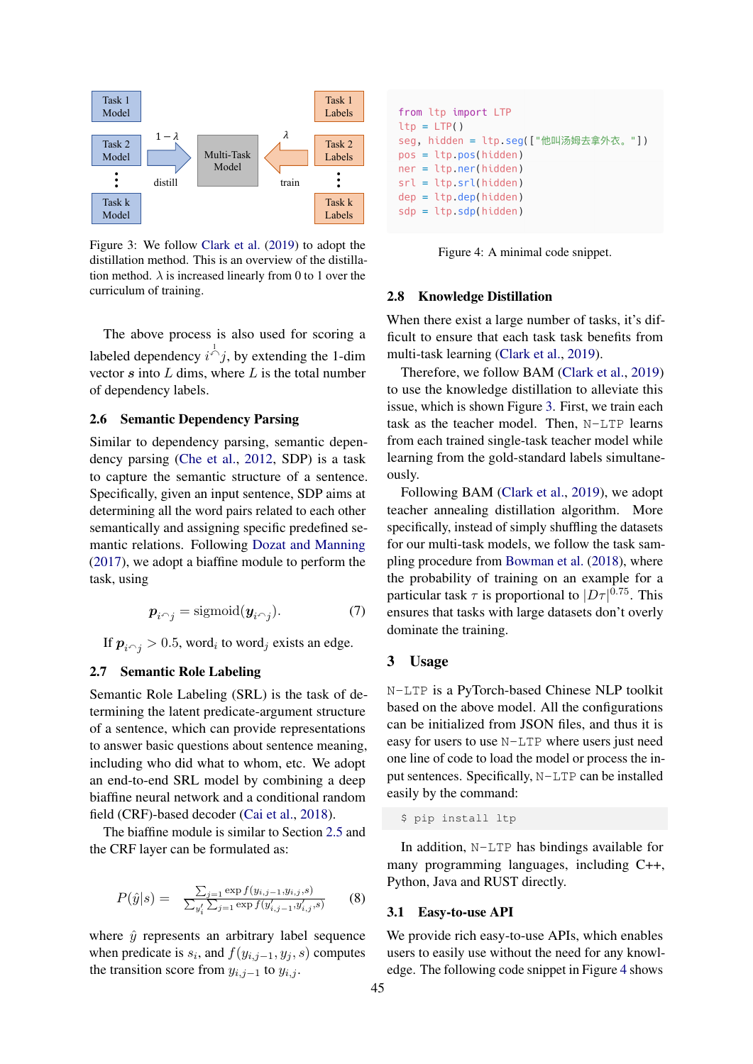<span id="page-3-0"></span>

Figure 3: We follow [Clark et al.](#page-6-0) [\(2019\)](#page-6-0) to adopt the distillation method. This is an overview of the distillation method.  $\lambda$  is increased linearly from 0 to 1 over the curriculum of training.

The above process is also used for scoring a labeled dependency  $i^{\overrightarrow{\wedge}} j$ , by extending the 1-dim vector  $s$  into  $L$  dims, where  $L$  is the total number of dependency labels.

# 2.6 Semantic Dependency Parsing

Similar to dependency parsing, semantic dependency parsing [\(Che et al.,](#page-6-11) [2012,](#page-6-11) SDP) is a task to capture the semantic structure of a sentence. Specifically, given an input sentence, SDP aims at determining all the word pairs related to each other semantically and assigning specific predefined semantic relations. Following [Dozat and Manning](#page-6-9) [\(2017\)](#page-6-9), we adopt a biaffine module to perform the task, using

$$
\boldsymbol{p}_{i \cap j} = \text{sigmoid}(\boldsymbol{y}_{i \cap j}). \tag{7}
$$

If  $p_{i \cap j} > 0.5$ , word<sub>i</sub> to word<sub>j</sub> exists an edge.

# 2.7 Semantic Role Labeling

Semantic Role Labeling (SRL) is the task of determining the latent predicate-argument structure of a sentence, which can provide representations to answer basic questions about sentence meaning, including who did what to whom, etc. We adopt an end-to-end SRL model by combining a deep biaffine neural network and a conditional random field (CRF)-based decoder [\(Cai et al.,](#page-6-12) [2018\)](#page-6-12).

The biaffine module is similar to Section [2.5](#page-2-1) and the CRF layer can be formulated as:

$$
P(\hat{y}|s) = \frac{\sum_{j=1}^{\infty} \exp f(y_{i,j-1}, y_{i,j}, s)}{\sum_{y'_i} \sum_{j=1}^{\infty} \exp f(y'_{i,j-1}, y'_{i,j}, s)}
$$
(8)

where  $\hat{v}$  represents an arbitrary label sequence when predicate is  $s_i$ , and  $f(y_{i,j-1}, y_j, s)$  computes the transition score from  $y_{i,j-1}$  to  $y_{i,j}$ .

```
from ltp import LTP
ltp = LTP()seg, hidden = ltp.seg(["他叫汤姆去拿外衣。"])
pos = ltp.pos(hidden)ner = <b>ltp.ner(hidden)</b>srl = ltp.srl(hidden)dep = ltp.dep(hidden)sdp = ltp.sdp(hidden)
```
Figure 4: A minimal code snippet.

#### 2.8 Knowledge Distillation

When there exist a large number of tasks, it's difficult to ensure that each task task benefits from multi-task learning [\(Clark et al.,](#page-6-0) [2019\)](#page-6-0).

Therefore, we follow BAM [\(Clark et al.,](#page-6-0) [2019\)](#page-6-0) to use the knowledge distillation to alleviate this issue, which is shown Figure [3.](#page-3-0) First, we train each task as the teacher model. Then, N-LTP learns from each trained single-task teacher model while learning from the gold-standard labels simultaneously.

Following BAM [\(Clark et al.,](#page-6-0) [2019\)](#page-6-0), we adopt teacher annealing distillation algorithm. More specifically, instead of simply shuffling the datasets for our multi-task models, we follow the task sampling procedure from [Bowman et al.](#page-6-13) [\(2018\)](#page-6-13), where the probability of training on an example for a particular task  $\tau$  is proportional to  $|D\tau|^{0.75}$ . This ensures that tasks with large datasets don't overly dominate the training.

#### 3 Usage

N-LTP is a PyTorch-based Chinese NLP toolkit based on the above model. All the configurations can be initialized from JSON files, and thus it is easy for users to use N-LTP where users just need one line of code to load the model or process the input sentences. Specifically, N-LTP can be installed easily by the command:

\$ pip install ltp

In addition, N-LTP has bindings available for many programming languages, including C++, Python, Java and RUST directly.

#### 3.1 Easy-to-use API

We provide rich easy-to-use APIs, which enables users to easily use without the need for any knowledge. The following code snippet in Figure [4](#page-3-1) shows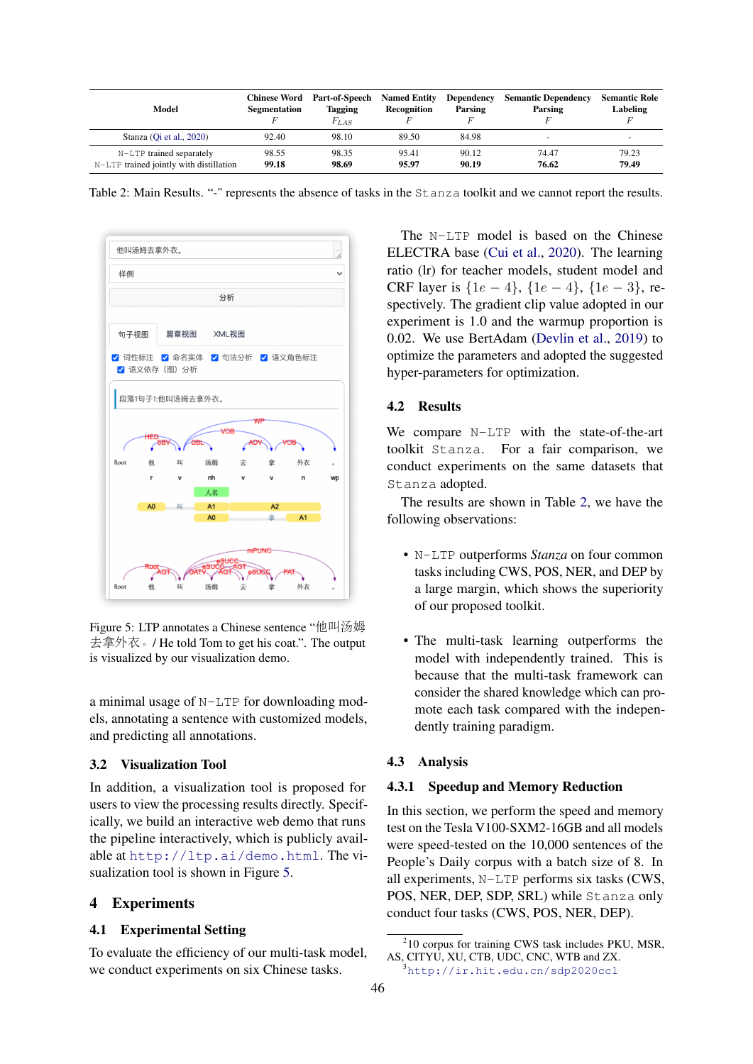<span id="page-4-1"></span>

| Model                                                               | <b>Chinese Word</b><br><b>Segmentation</b> | Part-of-Speech<br><b>Tagging</b><br>$F_{LAS}$ | <b>Named Entity</b><br>Recognition | Dependency<br>Parsing | <b>Semantic Dependency</b><br>Parsing | <b>Semantic Role</b><br>Labeling |
|---------------------------------------------------------------------|--------------------------------------------|-----------------------------------------------|------------------------------------|-----------------------|---------------------------------------|----------------------------------|
| Stanza (Oi et al., 2020)                                            | 92.40                                      | 98.10                                         | 89.50                              | 84.98                 |                                       | $\overline{\phantom{0}}$         |
| N-LTP trained separately<br>N-LTP trained jointly with distillation | 98.55<br>99.18                             | 98.35<br>98.69                                | 95.41<br>95.97                     | 90.12<br>90.19        | 74.47<br>76.62                        | 79.23<br>79.49                   |

Table 2: Main Results. "-" represents the absence of tasks in the Stanza toolkit and we cannot report the results.

<span id="page-4-0"></span>

Figure 5: LTP annotates a Chinese sentence "他叫汤姆 <sup>去</sup>拿外衣。/ He told Tom to get his coat.". The output is visualized by our visualization demo.

a minimal usage of N-LTP for downloading models, annotating a sentence with customized models, and predicting all annotations.

## 3.2 Visualization Tool

In addition, a visualization tool is proposed for users to view the processing results directly. Specifically, we build an interactive web demo that runs the pipeline interactively, which is publicly available at <http://ltp.ai/demo.html>. The visualization tool is shown in Figure [5.](#page-4-0)

# 4 Experiments

# 4.1 Experimental Setting

To evaluate the efficiency of our multi-task model, we conduct experiments on six Chinese tasks.

The N-LTP model is based on the Chinese ELECTRA base [\(Cui et al.,](#page-6-14) [2020\)](#page-6-14). The learning ratio (lr) for teacher models, student model and CRF layer is  $\{1e-4\}$ ,  $\{1e-4\}$ ,  $\{1e-3\}$ , respectively. The gradient clip value adopted in our experiment is 1.0 and the warmup proportion is 0.02. We use BertAdam [\(Devlin et al.,](#page-6-7) [2019\)](#page-6-7) to optimize the parameters and adopted the suggested hyper-parameters for optimization.

# 4.2 Results

We compare N-LTP with the state-of-the-art toolkit Stanza. For a fair comparison, we conduct experiments on the same datasets that Stanza adopted.

The results are shown in Table [2,](#page-4-1) we have the following observations:

- N-LTP outperforms *Stanza* on four common tasks including CWS, POS, NER, and DEP by a large margin, which shows the superiority of our proposed toolkit.
- The multi-task learning outperforms the model with independently trained. This is because that the multi-task framework can consider the shared knowledge which can promote each task compared with the independently training paradigm.

## 4.3 Analysis

# 4.3.1 Speedup and Memory Reduction

In this section, we perform the speed and memory test on the Tesla V100-SXM2-16GB and all models were speed-tested on the 10,000 sentences of the People's Daily corpus with a batch size of 8. In all experiments, N-LTP performs six tasks (CWS, POS, NER, DEP, SDP, SRL) while Stanza only conduct four tasks (CWS, POS, NER, DEP).

<sup>&</sup>lt;sup>2</sup>10 corpus for training CWS task includes PKU, MSR, AS, CITYU, XU, CTB, UDC, CNC, WTB and ZX.

<sup>3</sup><http://ir.hit.edu.cn/sdp2020ccl>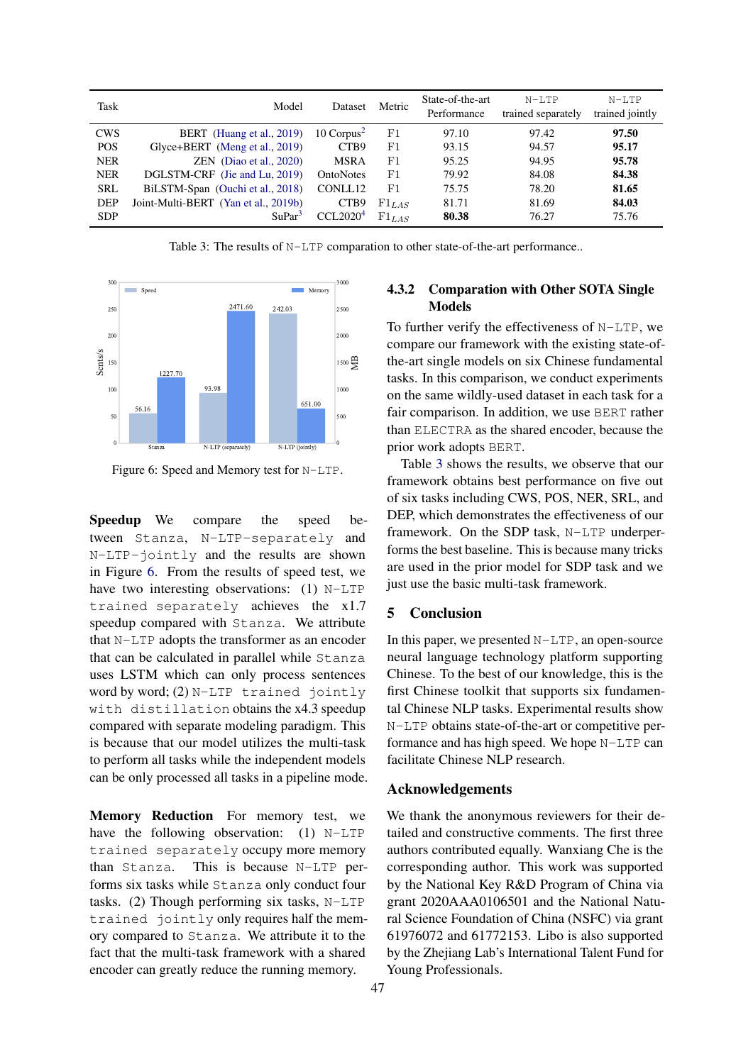<span id="page-5-1"></span>

| Task       | Model                                | Dataset               | Metric     | State-of-the-art<br>Performance | $N-T$ , $TP$<br>trained separately | $N-LTP$<br>trained jointly |
|------------|--------------------------------------|-----------------------|------------|---------------------------------|------------------------------------|----------------------------|
| <b>CWS</b> | BERT (Huang et al., 2019)            | 10 $Corpus2$          | F1         | 97.10                           | 97.42                              | 97.50                      |
| <b>POS</b> | Glyce+BERT (Meng et al., 2019)       | CTB9                  | F1         | 93.15                           | 94.57                              | 95.17                      |
| <b>NER</b> | $ZEN$ (Diao et al., 2020)            | <b>MSRA</b>           | F1         | 95.25                           | 94.95                              | 95.78                      |
| <b>NER</b> | DGLSTM-CRF (Jie and Lu, 2019)        | OntoNotes             | F1         | 79.92                           | 84.08                              | 84.38                      |
| <b>SRL</b> | BiLSTM-Span (Ouchi et al., 2018)     | CONLL12               | F1         | 75.75                           | 78.20                              | 81.65                      |
| <b>DEP</b> | Joint-Multi-BERT (Yan et al., 2019b) | CTB9                  | $F1_{LAS}$ | 81.71                           | 81.69                              | 84.03                      |
| <b>SDP</b> | SuPar <sup>3</sup>                   | CCI.2020 <sup>4</sup> | $F1_{LAS}$ | 80.38                           | 76.27                              | 75.76                      |

Table 3: The results of N-LTP comparation to other state-of-the-art performance..

<span id="page-5-0"></span>

Figure 6: Speed and Memory test for N-LTP.

Speedup We compare the speed between Stanza, N-LTP-separately and N-LTP-jointly and the results are shown in Figure [6.](#page-5-0) From the results of speed test, we have two interesting observations: (1) N-LTP trained separately achieves the x1.7 speedup compared with Stanza. We attribute that N-LTP adopts the transformer as an encoder that can be calculated in parallel while Stanza uses LSTM which can only process sentences word by word; (2) N-LTP trained jointly with distillation obtains the x4.3 speedup compared with separate modeling paradigm. This is because that our model utilizes the multi-task to perform all tasks while the independent models can be only processed all tasks in a pipeline mode.

Memory Reduction For memory test, we have the following observation: (1) N-LTP trained separately occupy more memory than Stanza. This is because N-LTP performs six tasks while Stanza only conduct four tasks. (2) Though performing six tasks, N-LTP trained jointly only requires half the memory compared to Stanza. We attribute it to the fact that the multi-task framework with a shared encoder can greatly reduce the running memory.

# 4.3.2 Comparation with Other SOTA Single Models

To further verify the effectiveness of N-LTP, we compare our framework with the existing state-ofthe-art single models on six Chinese fundamental tasks. In this comparison, we conduct experiments on the same wildly-used dataset in each task for a fair comparison. In addition, we use BERT rather than ELECTRA as the shared encoder, because the prior work adopts BERT.

Table [3](#page-5-1) shows the results, we observe that our framework obtains best performance on five out of six tasks including CWS, POS, NER, SRL, and DEP, which demonstrates the effectiveness of our framework. On the SDP task, N-LTP underperforms the best baseline. This is because many tricks are used in the prior model for SDP task and we just use the basic multi-task framework.

# 5 Conclusion

In this paper, we presented  $N-LTP$ , an open-source neural language technology platform supporting Chinese. To the best of our knowledge, this is the first Chinese toolkit that supports six fundamental Chinese NLP tasks. Experimental results show N-LTP obtains state-of-the-art or competitive performance and has high speed. We hope N-LTP can facilitate Chinese NLP research.

#### Acknowledgements

We thank the anonymous reviewers for their detailed and constructive comments. The first three authors contributed equally. Wanxiang Che is the corresponding author. This work was supported by the National Key R&D Program of China via grant 2020AAA0106501 and the National Natural Science Foundation of China (NSFC) via grant 61976072 and 61772153. Libo is also supported by the Zhejiang Lab's International Talent Fund for Young Professionals.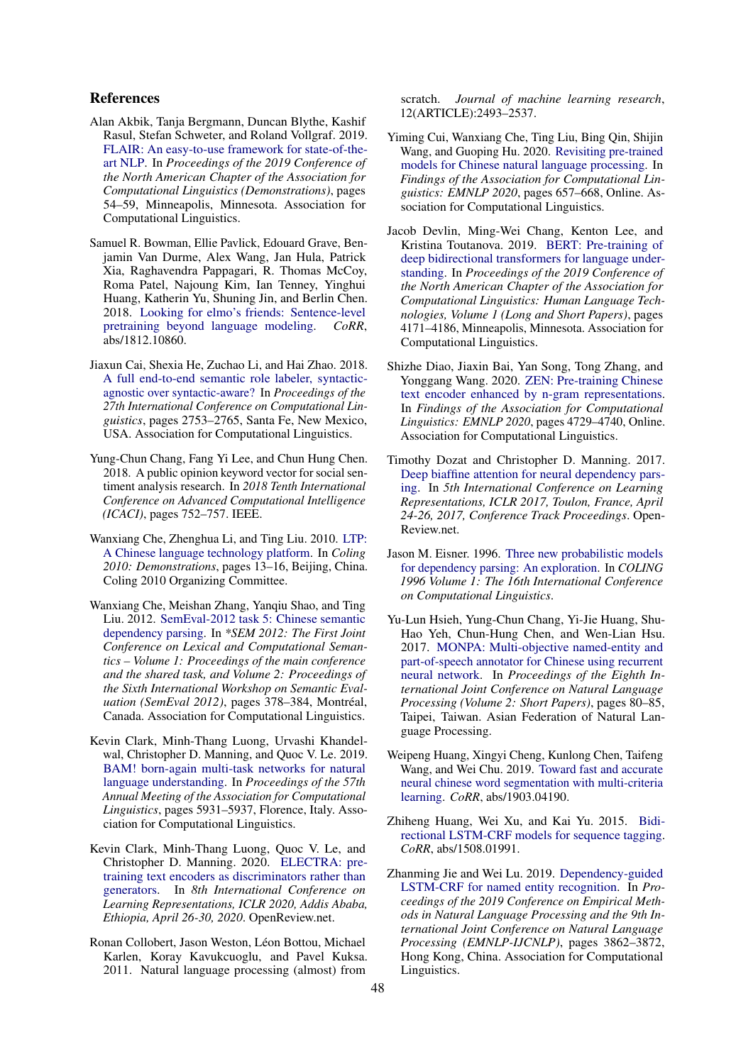## References

- <span id="page-6-1"></span>Alan Akbik, Tanja Bergmann, Duncan Blythe, Kashif Rasul, Stefan Schweter, and Roland Vollgraf. 2019. [FLAIR: An easy-to-use framework for state-of-the](https://doi.org/10.18653/v1/N19-4010)[art NLP.](https://doi.org/10.18653/v1/N19-4010) In *Proceedings of the 2019 Conference of the North American Chapter of the Association for Computational Linguistics (Demonstrations)*, pages 54–59, Minneapolis, Minnesota. Association for Computational Linguistics.
- <span id="page-6-13"></span>Samuel R. Bowman, Ellie Pavlick, Edouard Grave, Benjamin Van Durme, Alex Wang, Jan Hula, Patrick Xia, Raghavendra Pappagari, R. Thomas McCoy, Roma Patel, Najoung Kim, Ian Tenney, Yinghui Huang, Katherin Yu, Shuning Jin, and Berlin Chen. 2018. [Looking for elmo's friends: Sentence-level](http://arxiv.org/abs/1812.10860) [pretraining beyond language modeling.](http://arxiv.org/abs/1812.10860) *CoRR*, abs/1812.10860.
- <span id="page-6-12"></span>Jiaxun Cai, Shexia He, Zuchao Li, and Hai Zhao. 2018. [A full end-to-end semantic role labeler, syntactic](https://www.aclweb.org/anthology/C18-1233)[agnostic over syntactic-aware?](https://www.aclweb.org/anthology/C18-1233) In *Proceedings of the 27th International Conference on Computational Linguistics*, pages 2753–2765, Santa Fe, New Mexico, USA. Association for Computational Linguistics.
- <span id="page-6-3"></span>Yung-Chun Chang, Fang Yi Lee, and Chun Hung Chen. 2018. A public opinion keyword vector for social sentiment analysis research. In *2018 Tenth International Conference on Advanced Computational Intelligence (ICACI)*, pages 752–757. IEEE.
- <span id="page-6-4"></span>Wanxiang Che, Zhenghua Li, and Ting Liu. 2010. [LTP:](https://www.aclweb.org/anthology/C10-3004) [A Chinese language technology platform.](https://www.aclweb.org/anthology/C10-3004) In *Coling 2010: Demonstrations*, pages 13–16, Beijing, China. Coling 2010 Organizing Committee.
- <span id="page-6-11"></span>Wanxiang Che, Meishan Zhang, Yanqiu Shao, and Ting Liu. 2012. [SemEval-2012 task 5: Chinese semantic](https://www.aclweb.org/anthology/S12-1050) [dependency parsing.](https://www.aclweb.org/anthology/S12-1050) In *\*SEM 2012: The First Joint Conference on Lexical and Computational Semantics – Volume 1: Proceedings of the main conference and the shared task, and Volume 2: Proceedings of the Sixth International Workshop on Semantic Evaluation (SemEval 2012)*, pages 378–384, Montréal, Canada. Association for Computational Linguistics.
- <span id="page-6-0"></span>Kevin Clark, Minh-Thang Luong, Urvashi Khandelwal, Christopher D. Manning, and Quoc V. Le. 2019. [BAM! born-again multi-task networks for natural](https://doi.org/10.18653/v1/P19-1595) [language understanding.](https://doi.org/10.18653/v1/P19-1595) In *Proceedings of the 57th Annual Meeting of the Association for Computational Linguistics*, pages 5931–5937, Florence, Italy. Association for Computational Linguistics.
- <span id="page-6-6"></span>Kevin Clark, Minh-Thang Luong, Quoc V. Le, and Christopher D. Manning. 2020. [ELECTRA: pre](https://openreview.net/forum?id=r1xMH1BtvB)[training text encoders as discriminators rather than](https://openreview.net/forum?id=r1xMH1BtvB) [generators.](https://openreview.net/forum?id=r1xMH1BtvB) In *8th International Conference on Learning Representations, ICLR 2020, Addis Ababa, Ethiopia, April 26-30, 2020*. OpenReview.net.
- <span id="page-6-5"></span>Ronan Collobert, Jason Weston, Léon Bottou, Michael Karlen, Koray Kavukcuoglu, and Pavel Kuksa. 2011. Natural language processing (almost) from

scratch. *Journal of machine learning research*, 12(ARTICLE):2493–2537.

- <span id="page-6-14"></span>Yiming Cui, Wanxiang Che, Ting Liu, Bing Qin, Shijin Wang, and Guoping Hu. 2020. [Revisiting pre-trained](https://doi.org/10.18653/v1/2020.findings-emnlp.58) [models for Chinese natural language processing.](https://doi.org/10.18653/v1/2020.findings-emnlp.58) In *Findings of the Association for Computational Linguistics: EMNLP 2020*, pages 657–668, Online. Association for Computational Linguistics.
- <span id="page-6-7"></span>Jacob Devlin, Ming-Wei Chang, Kenton Lee, and Kristina Toutanova. 2019. [BERT: Pre-training of](https://doi.org/10.18653/v1/N19-1423) [deep bidirectional transformers for language under](https://doi.org/10.18653/v1/N19-1423)[standing.](https://doi.org/10.18653/v1/N19-1423) In *Proceedings of the 2019 Conference of the North American Chapter of the Association for Computational Linguistics: Human Language Technologies, Volume 1 (Long and Short Papers)*, pages 4171–4186, Minneapolis, Minnesota. Association for Computational Linguistics.
- <span id="page-6-16"></span>Shizhe Diao, Jiaxin Bai, Yan Song, Tong Zhang, and Yonggang Wang. 2020. [ZEN: Pre-training Chinese](https://doi.org/10.18653/v1/2020.findings-emnlp.425) [text encoder enhanced by n-gram representations.](https://doi.org/10.18653/v1/2020.findings-emnlp.425) In *Findings of the Association for Computational Linguistics: EMNLP 2020*, pages 4729–4740, Online. Association for Computational Linguistics.
- <span id="page-6-9"></span>Timothy Dozat and Christopher D. Manning. 2017. [Deep biaffine attention for neural dependency pars](https://openreview.net/forum?id=Hk95PK9le)[ing.](https://openreview.net/forum?id=Hk95PK9le) In *5th International Conference on Learning Representations, ICLR 2017, Toulon, France, April 24-26, 2017, Conference Track Proceedings*. Open-Review.net.
- <span id="page-6-10"></span>Jason M. Eisner. 1996. [Three new probabilistic models](https://www.aclweb.org/anthology/C96-1058) [for dependency parsing: An exploration.](https://www.aclweb.org/anthology/C96-1058) In *COLING 1996 Volume 1: The 16th International Conference on Computational Linguistics*.
- <span id="page-6-2"></span>Yu-Lun Hsieh, Yung-Chun Chang, Yi-Jie Huang, Shu-Hao Yeh, Chun-Hung Chen, and Wen-Lian Hsu. 2017. [MONPA: Multi-objective named-entity and](https://www.aclweb.org/anthology/I17-2014) [part-of-speech annotator for Chinese using recurrent](https://www.aclweb.org/anthology/I17-2014) [neural network.](https://www.aclweb.org/anthology/I17-2014) In *Proceedings of the Eighth International Joint Conference on Natural Language Processing (Volume 2: Short Papers)*, pages 80–85, Taipei, Taiwan. Asian Federation of Natural Language Processing.
- <span id="page-6-15"></span>Weipeng Huang, Xingyi Cheng, Kunlong Chen, Taifeng Wang, and Wei Chu. 2019. [Toward fast and accurate](http://arxiv.org/abs/1903.04190) [neural chinese word segmentation with multi-criteria](http://arxiv.org/abs/1903.04190) [learning.](http://arxiv.org/abs/1903.04190) *CoRR*, abs/1903.04190.
- <span id="page-6-8"></span>Zhiheng Huang, Wei Xu, and Kai Yu. 2015. [Bidi](http://arxiv.org/abs/1508.01991)[rectional LSTM-CRF models for sequence tagging.](http://arxiv.org/abs/1508.01991) *CoRR*, abs/1508.01991.
- <span id="page-6-17"></span>Zhanming Jie and Wei Lu. 2019. [Dependency-guided](https://doi.org/10.18653/v1/D19-1399) [LSTM-CRF for named entity recognition.](https://doi.org/10.18653/v1/D19-1399) In *Proceedings of the 2019 Conference on Empirical Methods in Natural Language Processing and the 9th International Joint Conference on Natural Language Processing (EMNLP-IJCNLP)*, pages 3862–3872, Hong Kong, China. Association for Computational Linguistics.